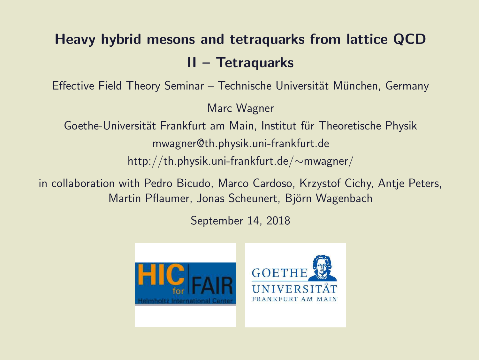#### Heavy hybrid mesons and tetraquarks from lattice QCD II – Tetraquarks

Effective Field Theory Seminar – Technische Universität München, Germany

Marc Wagner

Goethe-Universität Frankfurt am Main, Institut für Theoretische Physik mwagner@th.physik.uni-frankfurt.de

http://th.physik.uni-frankfurt.de/∼mwagner/

in collaboration with Pedro Bicudo, Marco Cardoso, Krzystof Cichy, Antje Peters, Martin Pflaumer, Jonas Scheunert, Björn Wagenbach

September 14, 2018

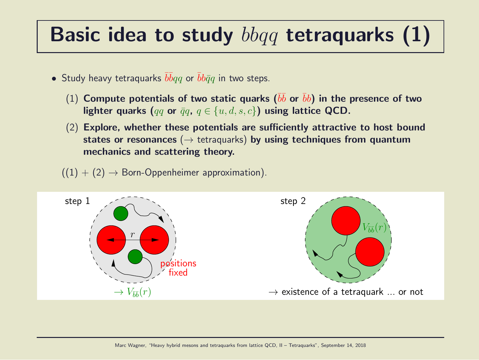#### Basic idea to study  $bbqq$  tetraquarks  $(1)$

- Study heavy tetraquarks  $\overline{b} \overline{b} q q$  or  $\overline{b} b \overline{q} q$  in two steps.
	- $(1)$  Compute potentials of two static quarks  $(\bar{b}\bar{b}$  or  $\bar{b}b)$  in the presence of two lighter quarks (qq or  $\bar{q}q$ ,  $q \in \{u, d, s, c\}$ ) using lattice QCD.
	- (2) Explore, whether these potentials are sufficiently attractive to host bound states or resonances ( $\rightarrow$  tetraquarks) by using techniques from quantum mechanics and scattering theory.
	- $((1) + (2) \rightarrow$  Born-Oppenheimer approximation).

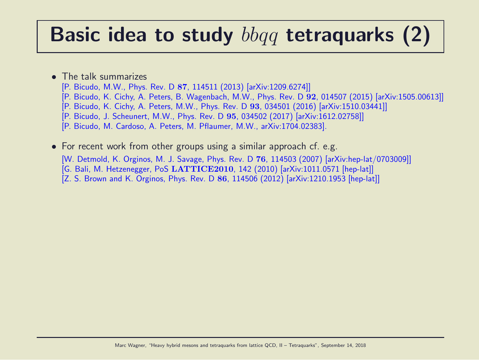#### Basic idea to study  $bbqq$  tetraquarks (2)

#### • The talk summarizes

- [P. Bicudo, M.W., Phys. Rev. D 87, 114511 (2013) [arXiv:1209.6274]]
- [P. Bicudo, K. Cichy, A. Peters, B. Wagenbach, M.W., Phys. Rev. D 92, 014507 (2015) [arXiv:1505.00613]]
- [P. Bicudo, K. Cichy, A. Peters, M.W., Phys. Rev. D 93, 034501 (2016) [arXiv:1510.03441]]
- [P. Bicudo, J. Scheunert, M.W., Phys. Rev. D 95, 034502 (2017) [arXiv:1612.02758]]
- [P. Bicudo, M. Cardoso, A. Peters, M. Pflaumer, M.W., arXiv:1704.02383].
- For recent work from other groups using a similar approach cf. e.g. [W. Detmold, K. Orginos, M. J. Savage, Phys. Rev. D 76, 114503 (2007) [arXiv:hep-lat/0703009]] [G. Bali, M. Hetzenegger, PoS LATTICE2010, 142 (2010) [arXiv:1011.0571 [hep-lat]] [Z. S. Brown and K. Orginos, Phys. Rev. D 86, 114506 (2012) [arXiv:1210.1953 [hep-lat]]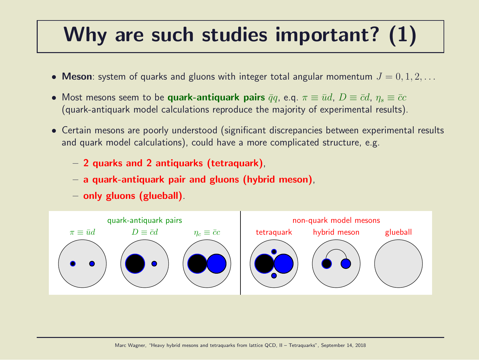#### Why are such studies important? (1)

- Meson: system of quarks and gluons with integer total angular momentum  $J = 0, 1, 2, \ldots$
- Most mesons seem to be quark-antiquark pairs  $\bar{q}q$ , e.q.  $\pi \equiv \bar{u}d$ ,  $D \equiv \bar{c}d$ ,  $\eta_s \equiv \bar{c}c$ (quark-antiquark model calculations reproduce the majority of experimental results).
- Certain mesons are poorly understood (significant discrepancies between experimental results and quark model calculations), could have a more complicated structure, e.g.
	- 2 quarks and 2 antiquarks (tetraquark),
	- a quark-antiquark pair and gluons (hybrid meson),
	- only gluons (glueball).

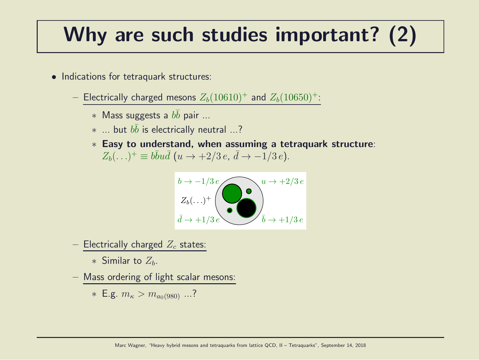#### Why are such studies important? (2)

- Indications for tetraquark structures:
	- Electrically charged mesons  $Z_b(10610)^+$  and  $Z_b(10650)^+$ :
		- $*$  Mass suggests a  $b\bar{b}$  pair ...
		- $*$  ... but  $b\bar{b}$  is electrically neutral ...?
		- ∗ Easy to understand, when assuming a tetraquark structure:  $Z_b(\ldots)^+ \equiv b\bar{b}u\bar{d}$   $(u \to +2/3 e, \, \bar{d} \to -1/3 e).$



- Electrically charged  $Z_c$  states:

∗ Similar to  $Z_h$ .

– Mass ordering of light scalar mesons:

\* E.g. 
$$
m_{\kappa} > m_{a_0(980)}
$$
 ...?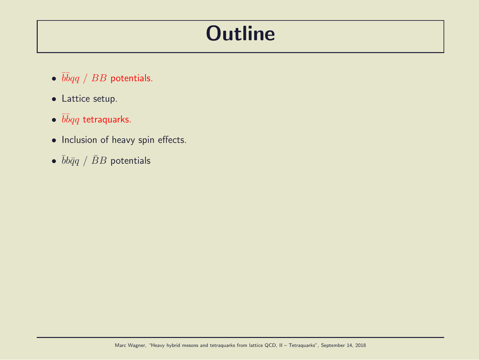#### **Outline**

- $\overline{b} \overline{b} q \overline{q}$  /  $BB$  potentials.
- Lattice setup.
- $\bullet$   $\bar b\bar b qq$  tetraquarks.
- Inclusion of heavy spin effects.
- $\bullet$   $\bar{b}b\bar{q}q$  /  $\bar{B}B$  potentials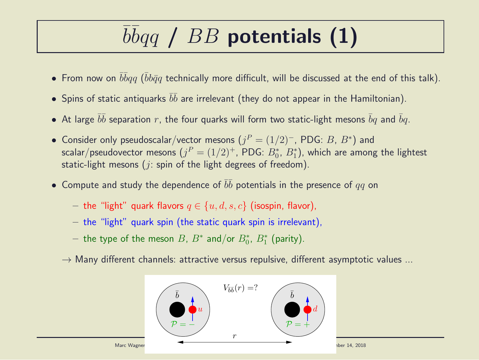# $\overline{b} \overline{b} q \overline{q}$  /  $BB$  potentials (1)

- $\bullet$  From now on  $\bar b\bar b qq$  ( $\bar b b\bar q q$  technically more difficult, will be discussed at the end of this talk).
- $\bullet$  Spins of static antiquarks  $\bar b \bar b$  are irrelevant (they do not appear in the Hamiltonian).
- $\bullet$  At large  $\bar{b}\bar{b}$  separation  $r$ , the four quarks will form two static-light mesons  $\bar{b}q$  and  $\bar{b}q$ .
- Consider only pseudoscalar/vector mesons  $(j^P = (1/2)^-, \text{PDG: } B, B^*)$  and scalar/pseudovector mesons  $(j^P = (1/2)^+,$  PDG:  $B^{\ast}_0$ ,  $B^{\ast}_1$ ), which are among the lightest static-light mesons ( $i$ : spin of the light degrees of freedom).
- $\bullet$  Compute and study the dependence of  $\bar{b}\bar{b}$  potentials in the presence of  $qq$  on
	- the "light" quark flavors  $q \in \{u, d, s, c\}$  (isospin, flavor),
	- $-$  the "light" quark spin (the static quark spin is irrelevant),
	- $-$  the type of the meson  $B$ ,  $B^*$  and/or  $B^*_0$ ,  $B^*_1$  (parity).
	- $\rightarrow$  Many different channels: attractive versus repulsive, different asymptotic values ...

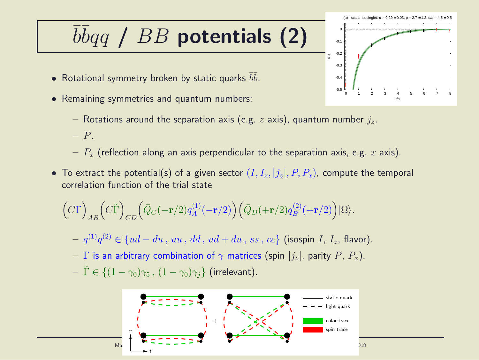### $\overline{b} \overline{b} q \overline{q}$  /  $BB$  potentials (2)

- Rotational symmetry broken by static quarks  $\bar b \bar b.$
- Remaining symmetries and quantum numbers:
	- Rotations around the separation axis (e.g. z axis), quantum number  $j_z$ .
	- P.
	- $-P_x$  (reflection along an axis perpendicular to the separation axis, e.g. x axis).
- To extract the potential(s) of a given sector  $(I, I_z, |j_z|, P, P_x)$ , compute the temporal correlation function of the trial state

$$
\Big(C\Gamma\Big)_{AB}\Big(C\tilde{\Gamma}\Big)_{CD}\Big(\bar{Q}_C(-{\mathbf r}/2)q_A^{(1)}(-{\mathbf r}/2)\Big)\Big(\bar{Q}_D(+{\mathbf r}/2)q_B^{(2)}(+{\mathbf r}/2)\Big)|\Omega\rangle.
$$

- $− q^{(1)}q^{(2)} ∈ {ud du , uu, dd, ud + du, ss, cc}$  (isospin *I*, *I*<sub>z</sub>, flavor).
- Γ is an arbitrary combination of  $\gamma$  matrices (spin  $|j_z|$ , parity P,  $P_x$ ).
- $-\tilde{\Gamma} \in \{(1-\gamma_0)\gamma_5, (1-\gamma_0)\gamma_i\}$  (irrelevant).



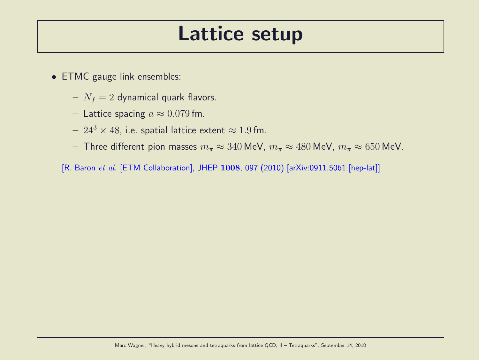#### Lattice setup

- ETMC gauge link ensembles:
	- $N_f = 2$  dynamical quark flavors.
	- Lattice spacing  $a \approx 0.079$  fm.
	- $24^3 \times 48$ , i.e. spatial lattice extent  $\approx 1.9$  fm.
	- Three different pion masses  $m_{\pi} \approx 340$  MeV,  $m_{\pi} \approx 480$  MeV,  $m_{\pi} \approx 650$  MeV.
	- [R. Baron et al. [ETM Collaboration], JHEP 1008, 097 (2010) [arXiv:0911.5061 [hep-lat]]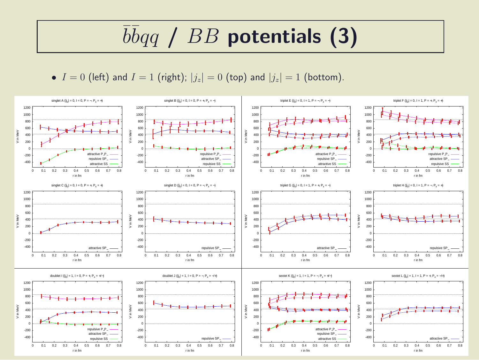## $\overline{b} \overline{b} q \overline{q}$  /  $BB$  potentials (3)

•  $I = 0$  (left) and  $I = 1$  (right);  $|j_z| = 0$  (top) and  $|j_z| = 1$  (bottom).

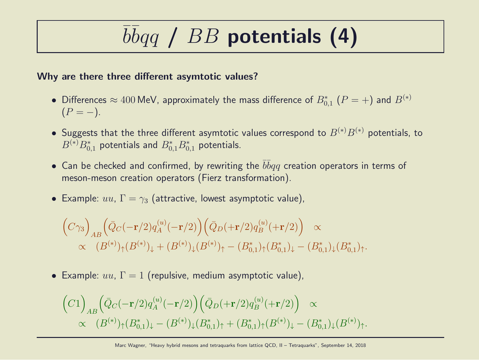## $\overline{b} \overline{b} q \overline{q}$  /  $BB$  potentials (4)

#### Why are there three different asymtotic values?

- Differences  $\approx 400$  MeV, approximately the mass difference of  $B_{0,1}^*$   $(P = +)$  and  $B^{(*)}$  $(P = -).$
- Suggests that the three different asymtotic values correspond to  $B^{(*)}B^{(*)}$  potentials, to  $B^{(\ast)}B_{0,1}^\ast$  potentials and  $B_{0,1}^\ast B_{0,1}^\ast$  potentials.
- Can be checked and confirmed, by rewriting the  $\bar{b} \bar{b} q q$  creation operators in terms of meson-meson creation operators (Fierz transformation).
- Example:  $uu, \Gamma = \gamma_3$  (attractive, lowest asymptotic value),

$$
\begin{aligned}\n\left(C\gamma_3\right)_{AB} &\left(\bar{Q}_C(-\mathbf{r}/2)q_A^{(u)}(-\mathbf{r}/2)\right)\left(\bar{Q}_D(+\mathbf{r}/2)q_B^{(u)}(+\mathbf{r}/2)\right) \propto \\
&\propto (B^{(*)})_{\uparrow}(B^{(*)})_{\downarrow} + (B^{(*)})_{\downarrow}(B^{(*)})_{\uparrow} - (B^*_{0,1})_{\uparrow}(B^*_{0,1})_{\downarrow} - (B^*_{0,1})_{\downarrow}(B^*_{0,1})_{\uparrow}.\n\end{aligned}
$$

• Example:  $uu, \Gamma = 1$  (repulsive, medium asymptotic value),

$$
\begin{aligned}\n\left(C1\right)_{AB} &\left(\bar{Q}_C(-\mathbf{r}/2)q_A^{(u)}(-\mathbf{r}/2)\right) \left(\bar{Q}_D(+\mathbf{r}/2)q_B^{(u)}(+\mathbf{r}/2)\right) \propto \\
&\propto \quad (B^{(*)})_\uparrow (B^*_{0,1})_\downarrow - (B^{(*)})_\downarrow (B^*_{0,1})_\uparrow + (B^*_{0,1})_\uparrow (B^{(*)})_\downarrow - (B^*_{0,1})_\downarrow (B^{(*)})_\uparrow.\n\end{aligned}
$$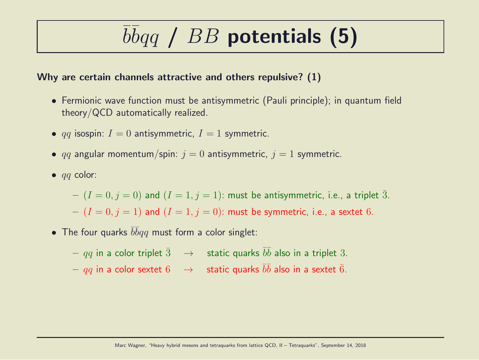## $\overline{b} \overline{b} q \overline{q}$  /  $BB$  potentials (5)

#### Why are certain channels attractive and others repulsive? (1)

- Fermionic wave function must be antisymmetric (Pauli principle); in quantum field theory/QCD automatically realized.
- qq isospin:  $I = 0$  antisymmetric,  $I = 1$  symmetric.
- qq angular momentum/spin:  $j = 0$  antisymmetric,  $j = 1$  symmetric.
- $\bullet$  *qq* color:

 $-(I = 0, j = 0)$  and  $(I = 1, j = 1)$ : must be antisymmetric, i.e., a triplet  $\overline{3}$ .  $-(I = 0, j = 1)$  and  $(I = 1, j = 0)$ : must be symmetric, i.e., a sextet 6.

• The four quarks  $\bar{b}\bar{b}qq$  must form a color singlet:

 $qq$  in a color triplet  $\bar{3}$   $\;\;\rightarrow$   $\;$  static quarks  $\bar{b}\bar{b}$  also in a triplet  $3.$  $qq$  in a color sextet  $6$   $\;\;\rightarrow$   $\;$  static quarks  $\bar{b}\bar{b}$  also in a sextet  $\bar{6}.$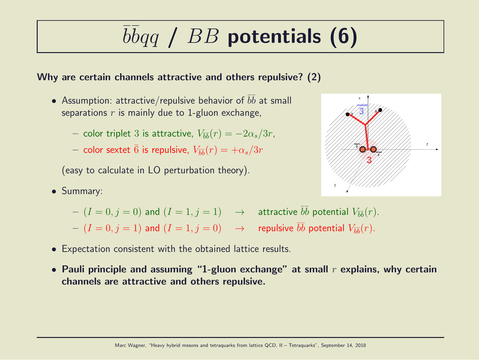# $\overline{b} \overline{b} q \overline{q}$  /  $BB$  potentials (6)

#### Why are certain channels attractive and others repulsive? (2)

- Assumption: attractive/repulsive behavior of  $\bar{b}\bar{b}$  at small separations  $r$  is mainly due to 1-gluon exchange,
	- $-$  color triplet 3 is attractive,  $V_{\bar{b}\bar{b}}(r) = -2\alpha_s/3r$ ,
	- $-$  color sextet  $\bar{6}$  is repulsive,  $V_{\bar{b}\bar{b}}(r)=+\alpha_s/3r$

(easy to calculate in LO perturbation theory).

• Summary:



- $(I = 0, j = 0)$  and  $(I = 1, j = 1)$   $\rightarrow$  attractive  $\overline{bb}$  potential  $V_{\overline{bb}}(r)$ .
- $(I = 0, j = 1)$  and  $(I = 1, j = 0) \longrightarrow$  repulsive  $\bar{b}\bar{b}$  potential  $V_{\bar{b}\bar{b}}(r)$ .
- Expectation consistent with the obtained lattice results.
- Pauli principle and assuming "1-gluon exchange" at small  $r$  explains, why certain channels are attractive and others repulsive.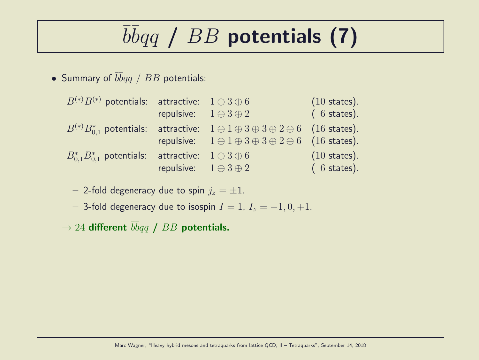# $\overline{b} \overline{b} q \overline{q}$  /  $BB$  potentials (7)

• Summary of  $\bar{b} \bar{b} q q$  /  $BB$  potentials:

| $(6 \text{ states}).$<br>repulsive: $1 \oplus 3 \oplus 2$                                                |
|----------------------------------------------------------------------------------------------------------|
|                                                                                                          |
| $B^{(*)}B_{0.1}^*$ potentials: attractive: $1 \oplus 1 \oplus 3 \oplus 3 \oplus 2 \oplus 6$ (16 states). |
| repulsive: $1 \oplus 1 \oplus 3 \oplus 3 \oplus 2 \oplus 6$ (16 states).                                 |
| $(10 \text{ states}).$<br>$B_{0.1}^* B_{0.1}^*$ potentials: attractive: $1 \oplus 3 \oplus 6$            |
| repulsive: $1 \oplus 3 \oplus 2$<br>$(6 \text{ states}).$                                                |

– 2-fold degeneracy due to spin  $j_z = \pm 1$ .

– 3-fold degeneracy due to isospin  $I = 1$ ,  $I_z = -1, 0, +1$ .

 $\rightarrow$  24 different  $\bar{b}\bar{b}qq$  /  $BB$  potentials.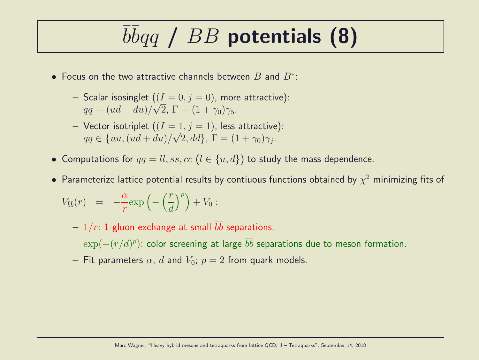## $\overline{b} \overline{b} q \overline{q}$  /  $BB$  potentials (8)

- Focus on the two attractive channels between  $B$  and  $B^*$ :
	- Scalar isosinglet  $((I = 0, j = 0)$ , more attractive):  $qq = (ud - du)/\sqrt{2}$ ,  $\Gamma = (1 + \gamma_0)\gamma_5$ .
	- Vector isotriplet  $((I = 1, j = 1))$ , less attractive):  $qq \in \{uu, (ud+du)/\sqrt{2}, dd\}, \Gamma = (1+\gamma_0)\gamma_j.$
- Computations for  $qq = ll, ss, cc$   $(l \in \{u, d\})$  to study the mass dependence.
- $\bullet$  Parameterize lattice potential results by contiuous functions obtained by  $\chi^2$  minimizing fits of

$$
V_{\bar{b}\bar{b}}(r) = -\frac{\alpha}{r} \exp\left(-\left(\frac{r}{d}\right)^p\right) + V_0:
$$

- $1/r$ : 1-gluon exchange at small  $\bar{b}\bar{b}$  separations.
- $\, \exp(-(r/d)^p)$ : color screening at large  $\bar{b} \bar{b}$  separations due to meson formation.
- Fit parameters  $\alpha$ , d and  $V_0$ ;  $p = 2$  from quark models.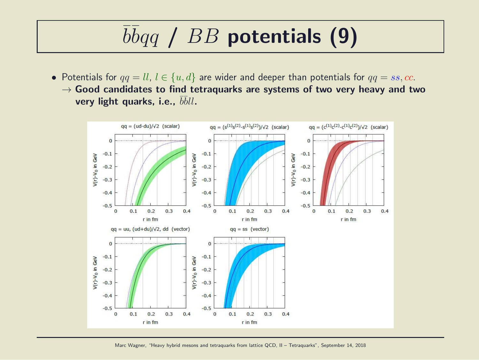## $\overline{b} \overline{b} q \overline{q}$  /  $BB$  potentials (9)

• Potentials for  $qq = ll, l \in \{u, d\}$  are wider and deeper than potentials for  $qq = ss, cc$ .  $\rightarrow$  Good candidates to find tetraquarks are systems of two very heavy and two very light quarks, i.e.,  $\bar{b}\bar{b}ll$ .

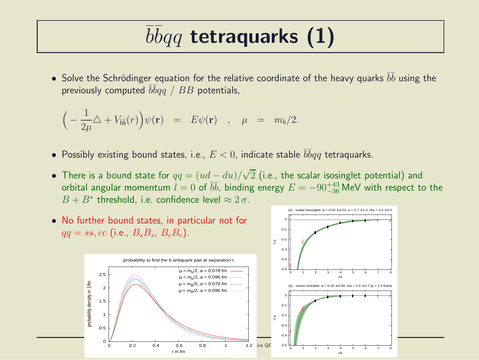## $\overline{b} \overline{b} q q$  tetraquarks (1)

• Solve the Schrödinger equation for the relative coordinate of the heavy quarks  $\bar{b}\bar{b}$  using the previously computed  $\bar b\bar b qq$  /  $BB$  potentials,

$$
\Big(-\frac{1}{2\mu}\triangle + V_{\overline{b}\overline{b}}(r)\Big)\psi(\mathbf{r}) = E\psi(\mathbf{r}) \quad , \quad \mu = m_b/2.
$$

- $\bullet$  Possibly existing bound states, i.e.,  $E < 0$ , indicate stable  $\bar b \bar b q q$  tetraquarks.
- There is a bound state for  $qq = (ud du)/\sqrt{2}$  (i.e., the scalar isosinglet potential) and orbital angular momentum  $l = 0$  of  $b\bar{b}$ , binding energy  $E = -90^{+43}_{-36}$  MeV with respect to the  $B + B^*$  threshold, i.e. confidence level  $\approx 2 \sigma$ .

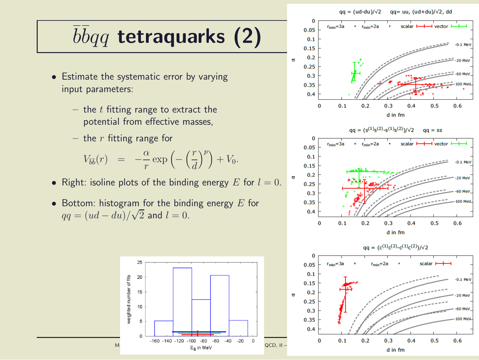#### $qa = (ud-du)/\sqrt{2}$  $qq = uu, (ud+du)/\sqrt{2}$ , dd

## $\overline{b} \overline{b} q q$  tetraquarks (2)

- Estimate the systematic error by varying input parameters:
	- the  $t$  fitting range to extract the potential from effective masses,
	- the  $r$  fitting range for

$$
V_{\overline{b}\overline{b}}(r) = -\frac{\alpha}{r} \exp\left(-\left(\frac{r}{d}\right)^p\right) + V_0.
$$

- Right: isoline plots of the binding energy E for  $l = 0$ .
- Bottom: histogram for the binding energy  $E$  for  $qq = (ud - du)/\sqrt{2}$  and  $l = 0$ .





 $0.3$ 

d in fm

 $0.4$ 

 $0.5$ 

100 MeV

 $0.6$ 

 $0.25$ 

 $0.3$ 

0.35

 $0.4$ 

 $\Omega$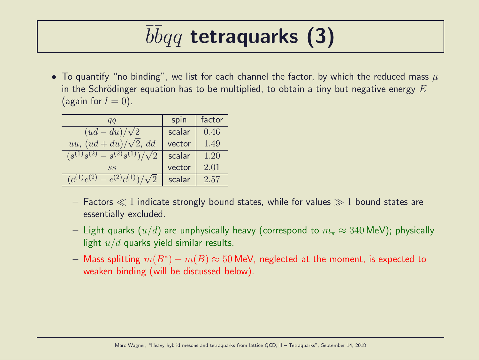## $\overline{b} \overline{b} q q$  tetraquarks (3)

• To quantify "no binding", we list for each channel the factor, by which the reduced mass  $\mu$ in the Schrödinger equation has to be multiplied, to obtain a tiny but negative energy  $E$ (again for  $l = 0$ ).

| qq                                       | spin   | factor |
|------------------------------------------|--------|--------|
| $(ud - du)/\sqrt{2}$                     | scalar | 0.46   |
| uu, $(ud+du)/\sqrt{2}$ , dd              | vector | 1.49   |
| $(s^{(1)}s^{(2)} - s^{(2)}s^{(1)})$      | scalar | 1.20   |
| SS                                       | vector | 2.01   |
| (2)<br>$-c^{(2)}c^{(1)}$<br>$(c^{(1)}c)$ | scalar | 2.57   |

- Factors  $\ll 1$  indicate strongly bound states, while for values  $\gg 1$  bound states are essentially excluded.
- Light quarks  $(u/d)$  are unphysically heavy (correspond to  $m_\pi \approx 340$  MeV); physically light  $u/d$  quarks yield similar results.
- $-$  Mass splitting  $m(B^*) m(B) \approx 50$  MeV, neglected at the moment, is expected to weaken binding (will be discussed below).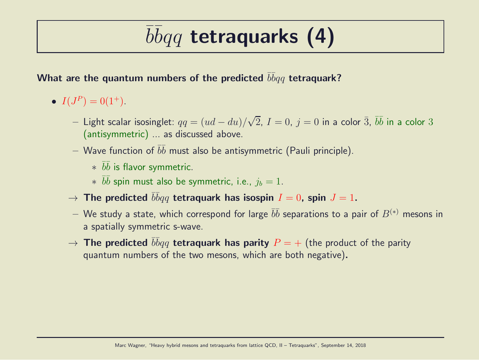## $\overline{b} \overline{b} q q$  tetraquarks (4)

#### What are the quantum numbers of the predicted  $\bar b \bar b q q$  tetraquark?

- $I(J^P) = 0(1^+).$ 
	- $−$  Light scalar isosinglet:  $qq = (ud du)/\sqrt{2}$ ,  $I = 0$ ,  $j = 0$  in a color  $\bar{3}$ ,  $\bar{b}\bar{b}$  in a color  $3$ (antisymmetric) ... as discussed above.
	- $-$  Wave function of  $\bar b \bar b$  must also be antisymmetric (Pauli principle).
		- $*$   $\bar{b}\bar{b}$  is flavor symmetric.
		- $*$   $\bar{b}\bar{b}$  spin must also be symmetric, i.e.,  $j_b = 1$ .
	- $\rightarrow$  The predicted  $\bar{b}\bar{b}qq$  tetraquark has isospin  $I=0$ , spin  $J=1.$
	- $-$  We study a state, which correspond for large  $\bar b \bar b$  separations to a pair of  $B^{(*)}$  mesons in a spatially symmetric s-wave.
	- $\rightarrow$  The predicted  $\bar{b}\bar{b}qq$  tetraquark has parity  $P=+$  (the product of the parity quantum numbers of the two mesons, which are both negative).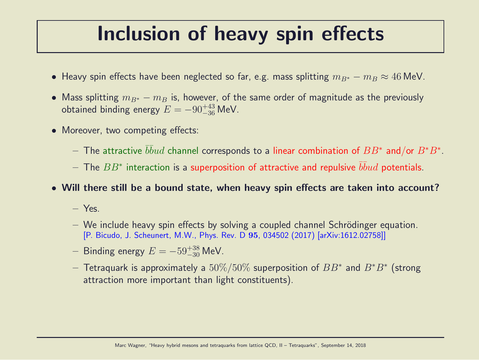#### Inclusion of heavy spin effects

- Heavy spin effects have been neglected so far, e.g. mass splitting  $m_{B*} m_B \approx 46$  MeV.
- Mass splitting  $m_{B^*} m_B$  is, however, of the same order of magnitude as the previously obtained binding energy  $E = -90^{+43}_{-36}$  MeV.
- Moreover, two competing effects:
	- $-$  The attractive  $\bar b\bar b ud$  channel corresponds to a linear combination of  $BB^*$  and/or  $B^*B^*.$
	- $-$  The  $BB^{\ast}$  interaction is a superposition of attractive and repulsive  $\bar{b}\bar{b}ud$  potentials.
- Will there still be a bound state, when heavy spin effects are taken into account?
	- Yes.
	- $-$  We include heavy spin effects by solving a coupled channel Schrödinger equation. [P. Bicudo, J. Scheunert, M.W., Phys. Rev. D 95, 034502 (2017) [arXiv:1612.02758]]
	- $−$  Binding energy  $E = -59^{+38}_{-30}$  MeV.
	- $-$  Tetraquark is approximately a  $50\%/50\%$  superposition of  $BB^*$  and  $B^*B^*$  (strong attraction more important than light constituents).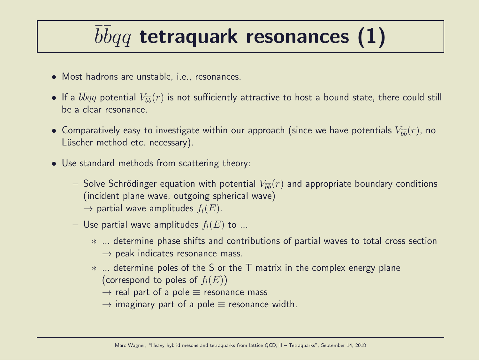### $\overline{b} \overline{b} q q$  tetraquark resonances (1)

- Most hadrons are unstable, i.e., resonances.
- $\bullet$  If a  $\bar{b}\bar{b}qq$  potential  $V_{\bar{b}\bar{b}}(r)$  is not sufficiently attractive to host a bound state, there could still be a clear resonance.
- $\bullet$  Comparatively easy to investigate within our approach (since we have potentials  $V_{\bar{b}\bar{b}}(r)$ , no Lüscher method etc. necessary).
- Use standard methods from scattering theory:
	- $-$  Solve Schrödinger equation with potential  $V_{\bar{b}\bar{b}}(r)$  and appropriate boundary conditions (incident plane wave, outgoing spherical wave)  $\rightarrow$  partial wave amplitudes  $f_l(E)$ .
	- Use partial wave amplitudes  $f_l(E)$  to ...
		- ∗ ... determine phase shifts and contributions of partial waves to total cross section  $\rightarrow$  peak indicates resonance mass.
		- ∗ ... determine poles of the S or the T matrix in the complex energy plane (correspond to poles of  $f_l(E)$ )
			- $\rightarrow$  real part of a pole  $\equiv$  resonance mass
			- $\rightarrow$  imaginary part of a pole  $\equiv$  resonance width.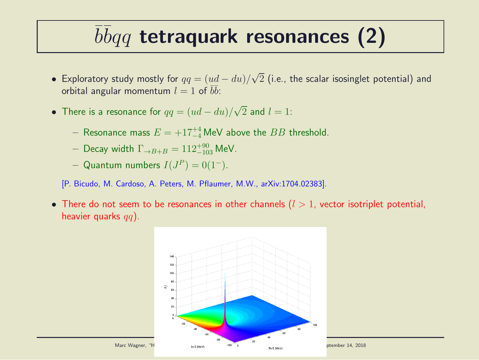### $\overline{b} \overline{b} q q$  tetraquark resonances (2)

- Exploratory study mostly for  $qq=(ud-du)/\sqrt{2}$  (i.e., the scalar isosinglet potential) and orbital angular momentum  $l=1$  of  $\overline{b}\overline{b}$ :
- There is a resonance for  $qq = (ud du)/\sqrt{2}$  and  $l = 1$ :
	- $-$  Resonance mass  $E = +17^{+4}_{-4}$  MeV above the  $BB$  threshold.
	- $-$  Decay width  $\Gamma_{\rightarrow B+B} = 112^{+90}_{-103}$  MeV.
	- $-$  Quantum numbers  $I(J^P) = 0(1^-)$ .
	- [P. Bicudo, M. Cardoso, A. Peters, M. Pflaumer, M.W., arXiv:1704.02383].
- There do not seem to be resonances in other channels  $(l > 1)$ , vector isotriplet potential, heavier quarks  $qq$ ).

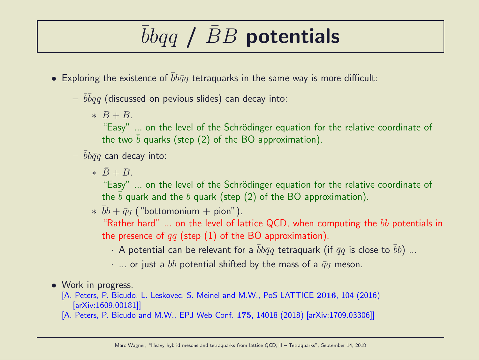### $bb\bar q q$  /  $BB$  potentials

- Exploring the existence of  $bb\bar{q}q$  tetraquarks in the same way is more difficult:
	- $-\,\,\overline{b}\overline{b} q q$  (discussed on pevious slides) can decay into:
		- $\overline{B} + \overline{B}$ .

"Easy" ... on the level of the Schrödinger equation for the relative coordinate of the two b quarks (step  $(2)$  of the BO approximation).

- $bb\bar{q}q$  can decay into:
	- $\ast \bar{B} + B$

"Easy" ... on the level of the Schrödinger equation for the relative coordinate of the b quark and the b quark (step  $(2)$  of the BO approximation).

 $* \bar{b}b + \bar{q}q$  ("bottomonium + pion").

"Rather hard" ... on the level of lattice QCD, when computing the  $\bar{b}b$  potentials in the presence of  $\bar{q}q$  (step (1) of the BO approximation).

- · A potential can be relevant for a  $\bar{b}b\bar{q}q$  tetraquark (if  $\bar{q}q$  is close to  $\bar{b}b$ ) ...
- $\cdot$  ... or just a bb potential shifted by the mass of a  $\bar{q}q$  meson.
- Work in progress.

[A. Peters, P. Bicudo, L. Leskovec, S. Meinel and M.W., PoS LATTICE 2016, 104 (2016) [arXiv:1609.00181]]

[A. Peters, P. Bicudo and M.W., EPJ Web Conf. 175, 14018 (2018) [arXiv:1709.03306]]